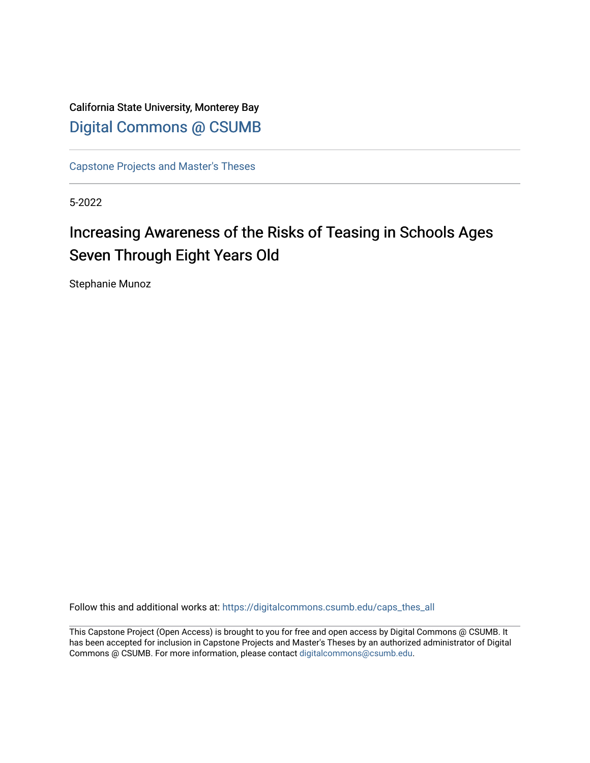California State University, Monterey Bay [Digital Commons @ CSUMB](https://digitalcommons.csumb.edu/)

[Capstone Projects and Master's Theses](https://digitalcommons.csumb.edu/caps_thes_all)

5-2022

# Increasing Awareness of the Risks of Teasing in Schools Ages Seven Through Eight Years Old

Stephanie Munoz

Follow this and additional works at: [https://digitalcommons.csumb.edu/caps\\_thes\\_all](https://digitalcommons.csumb.edu/caps_thes_all?utm_source=digitalcommons.csumb.edu%2Fcaps_thes_all%2F1256&utm_medium=PDF&utm_campaign=PDFCoverPages)

This Capstone Project (Open Access) is brought to you for free and open access by Digital Commons @ CSUMB. It has been accepted for inclusion in Capstone Projects and Master's Theses by an authorized administrator of Digital Commons @ CSUMB. For more information, please contact [digitalcommons@csumb.edu](mailto:digitalcommons@csumb.edu).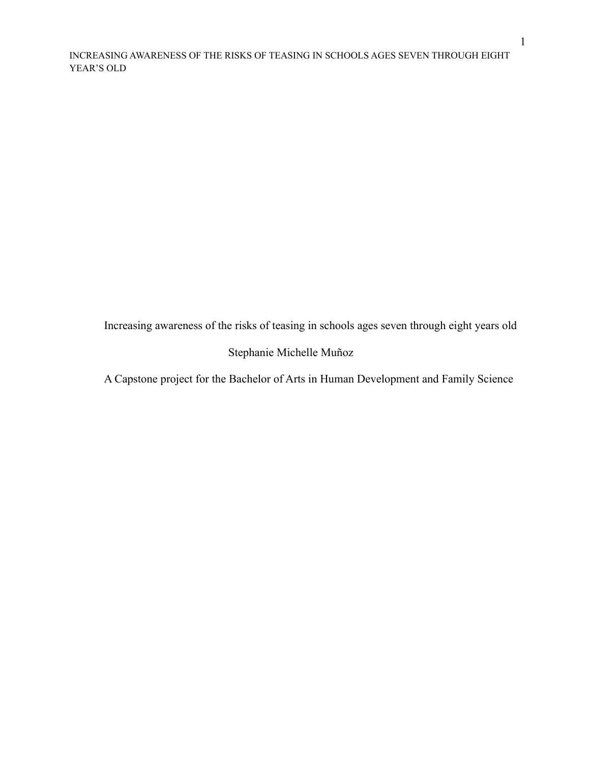Increasing awareness of the risks of teasing in schools ages seven through eight years old

# Stephanie Michelle Muñoz

A Capstone project for the Bachelor of Arts in Human Development and Family Science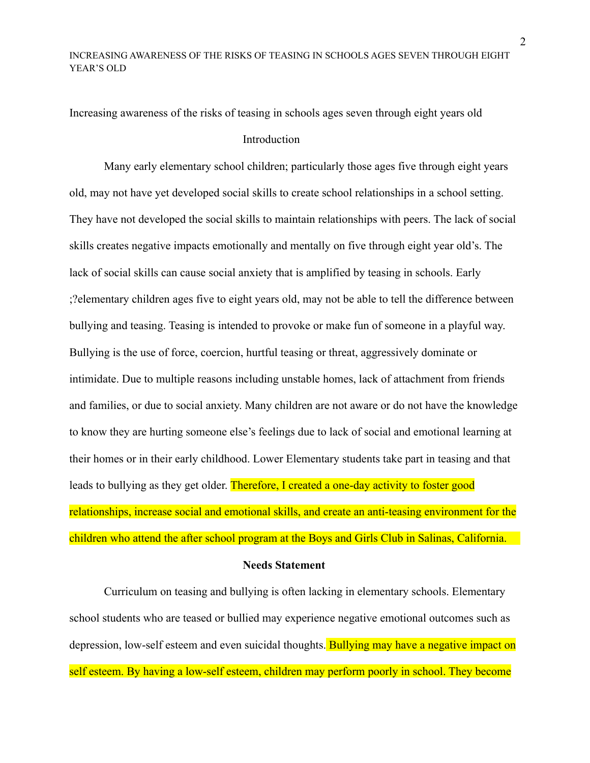Increasing awareness of the risks of teasing in schools ages seven through eight years old Introduction

Many early elementary school children; particularly those ages five through eight years old, may not have yet developed social skills to create school relationships in a school setting. They have not developed the social skills to maintain relationships with peers. The lack of social skills creates negative impacts emotionally and mentally on five through eight year old's. The lack of social skills can cause social anxiety that is amplified by teasing in schools. Early ;?elementary children ages five to eight years old, may not be able to tell the difference between bullying and teasing. Teasing is intended to provoke or make fun of someone in a playful way. Bullying is the use of force, coercion, hurtful teasing or threat, aggressively dominate or intimidate. Due to multiple reasons including unstable homes, lack of attachment from friends and families, or due to social anxiety. Many children are not aware or do not have the knowledge to know they are hurting someone else's feelings due to lack of social and emotional learning at their homes or in their early childhood. Lower Elementary students take part in teasing and that leads to bullying as they get older. Therefore, I created a one-day activity to foster good relationships, increase social and emotional skills, and create an anti-teasing environment for the children who attend the after school program at the Boys and Girls Club in Salinas, California.

#### **Needs Statement**

Curriculum on teasing and bullying is often lacking in elementary schools. Elementary school students who are teased or bullied may experience negative emotional outcomes such as depression, low-self esteem and even suicidal thoughts. Bullying may have a negative impact on self esteem. By having a low-self esteem, children may perform poorly in school. They become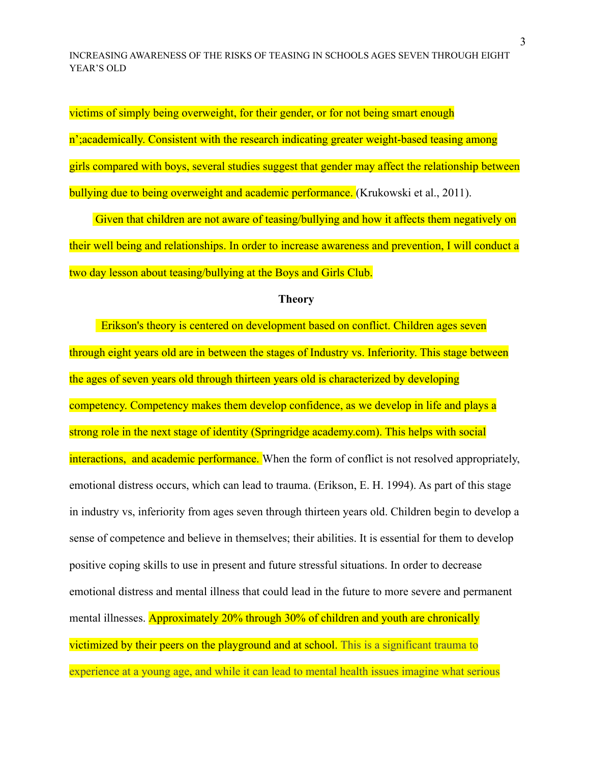victims of simply being overweight, for their gender, or for not being smart enough n'; academically. Consistent with the research indicating greater weight-based teasing among girls compared with boys, several studies suggest that gender may affect the relationship between bullying due to being overweight and academic performance. (Krukowski et al., 2011).

Given that children are not aware of teasing/bullying and how it affects them negatively on their well being and relationships. In order to increase awareness and prevention, I will conduct a two day lesson about teasing/bullying at the Boys and Girls Club.

## **Theory**

Erikson's theory is centered on development based on conflict. Children ages seven through eight years old are in between the stages of Industry vs. Inferiority. This stage between the ages of seven years old through thirteen years old is characterized by developing competency. Competency makes them develop confidence, as we develop in life and plays a strong role in the next stage of identity (Springridge academy.com). This helps with social interactions, and academic performance. When the form of conflict is not resolved appropriately, emotional distress occurs, which can lead to trauma. (Erikson, E. H. 1994). As part of this stage in industry vs, inferiority from ages seven through thirteen years old. Children begin to develop a sense of competence and believe in themselves; their abilities. It is essential for them to develop positive coping skills to use in present and future stressful situations. In order to decrease emotional distress and mental illness that could lead in the future to more severe and permanent mental illnesses. Approximately 20% through 30% of children and youth are chronically victimized by their peers on the playground and at school. This is a significant trauma to experience at a young age, and while it can lead to mental health issues imagine what serious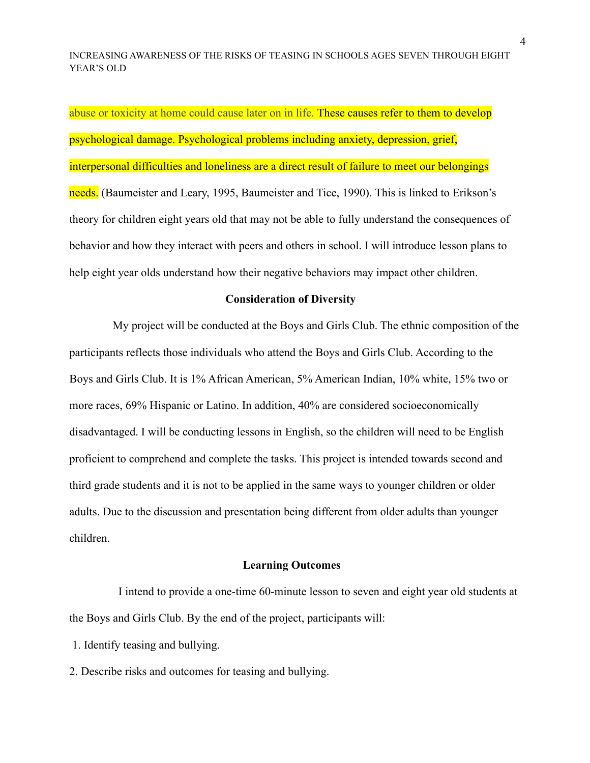abuse or toxicity at home could cause later on in life. These causes refer to them to develop psychological damage. Psychological problems including anxiety, depression, grief, interpersonal difficulties and loneliness are a direct result of failure to meet our belongings needs. (Baumeister and Leary, 1995, Baumeister and Tice, 1990). This is linked to Erikson's theory for children eight years old that may not be able to fully understand the consequences of behavior and how they interact with peers and others in school. I will introduce lesson plans to help eight year olds understand how their negative behaviors may impact other children.

#### **Consideration of Diversity**

My project will be conducted at the Boys and Girls Club. The ethnic composition of the participants reflects those individuals who attend the Boys and Girls Club. According to the Boys and Girls Club. It is 1% African American, 5% American Indian, 10% white, 15% two or more races, 69% Hispanic or Latino. In addition, 40% are considered socioeconomically disadvantaged. I will be conducting lessons in English, so the children will need to be English proficient to comprehend and complete the tasks. This project is intended towards second and third grade students and it is not to be applied in the same ways to younger children or older adults. Due to the discussion and presentation being different from older adults than younger children.

## **Learning Outcomes**

I intend to provide a one-time 60-minute lesson to seven and eight year old students at the Boys and Girls Club. By the end of the project, participants will:

1. Identify teasing and bullying.

2. Describe risks and outcomes for teasing and bullying.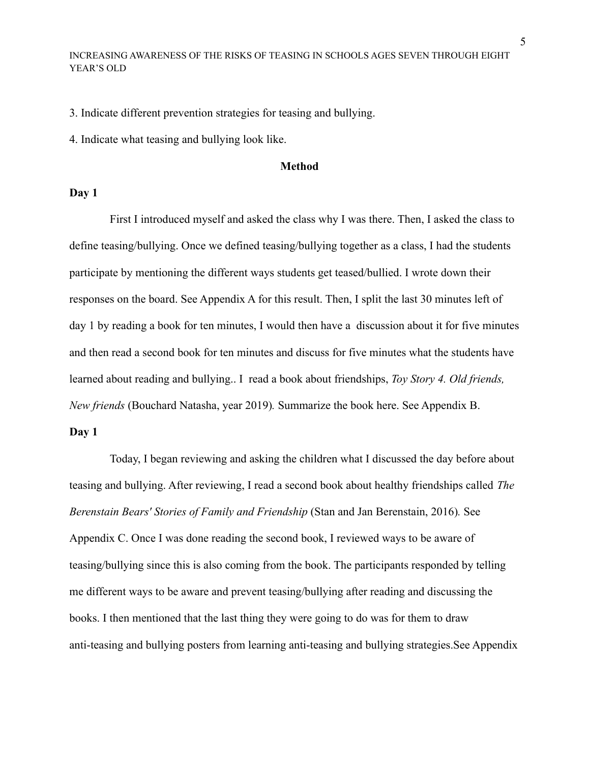3. Indicate different prevention strategies for teasing and bullying.

4. Indicate what teasing and bullying look like.

#### **Method**

#### **Day 1**

First I introduced myself and asked the class why I was there. Then, I asked the class to define teasing/bullying. Once we defined teasing/bullying together as a class, I had the students participate by mentioning the different ways students get teased/bullied. I wrote down their responses on the board. See Appendix A for this result. Then, I split the last 30 minutes left of day 1 by reading a book for ten minutes, I would then have a discussion about it for five minutes and then read a second book for ten minutes and discuss for five minutes what the students have learned about reading and bullying.. I read a book about friendships, *Toy Story 4. Old friends, New friends* (Bouchard Natasha, year 2019)*.* Summarize the book here. See Appendix B.

#### **Day 1**

Today, I began reviewing and asking the children what I discussed the day before about teasing and bullying. After reviewing, I read a second book about healthy friendships called *The Berenstain Bears' Stories of Family and Friendship* (Stan and Jan Berenstain, 2016)*.* See Appendix C. Once I was done reading the second book, I reviewed ways to be aware of teasing/bullying since this is also coming from the book. The participants responded by telling me different ways to be aware and prevent teasing/bullying after reading and discussing the books. I then mentioned that the last thing they were going to do was for them to draw anti-teasing and bullying posters from learning anti-teasing and bullying strategies.See Appendix